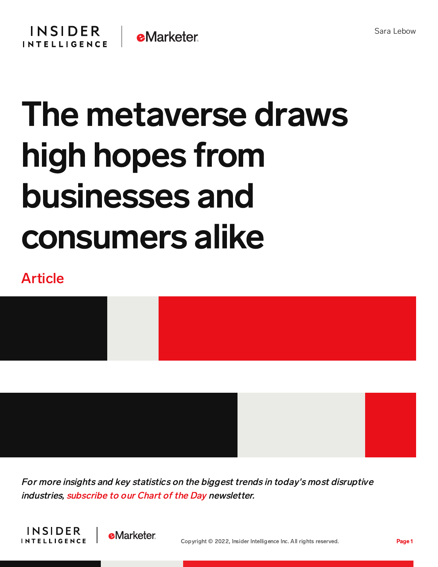## The metaverse draws high hopes from businesses and consumers alike

## Article



For more insights and key statistics on the biggest trends in today's most disruptive industries, [subscribe](https://www.businessinsider.com/intelligence/chart-of-the-day-newsletter?IR=T&itm_source=insiderintelligence&itm_medium=inline_cotd&itm_content=chart-of-the-day-newsletter) to our Chart of the Day newsletter.



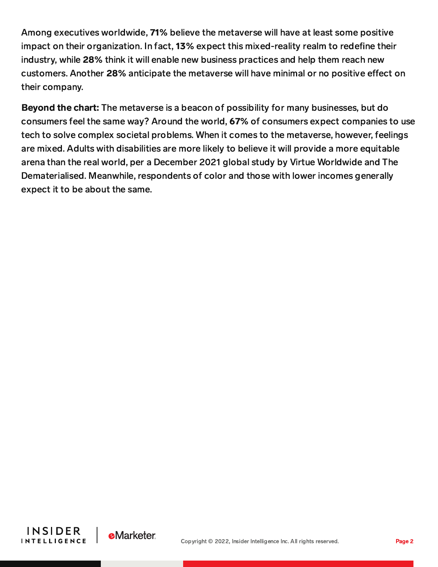Among executives worldwide, 71% believe the metaverse will have at least some positive impact on their organization. In fact, 13% expect this mixed-reality realm to redefine their industry, while 28% think it will enable new business practices and help them reach new customers. Another 28% anticipate the metaverse will have minimal or no positive effect on their company.

Beyond the chart: The metaverse is a beacon of possibility for many businesses, but do consumers feel the same way? Around the world, 67% of consumers expect companies to use tech to solve complex societal problems. When it comes to the metaverse, however, feelings are mixed. Adults with disabilities are more likely to believe it will provide a more equitable arena than the real world, per a December 2021 global study by Virtue Worldwide and The Dematerialised. Meanwhile, respondents of color and those with lower incomes generally expect it to be about the same.



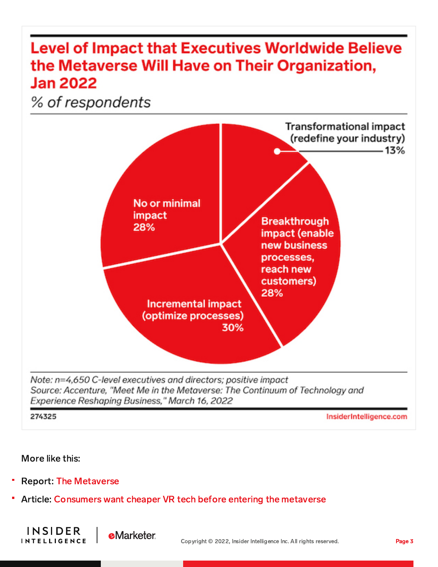## **Level of Impact that Executives Worldwide Believe** the Metaverse Will Have on Their Organization, **Jan 2022**

% of respondents



274325

InsiderIntelligence.com

## More like this:

**INSIDER** 

**INTELLIGENCE** 

- Report: The Metaverse
- Article: Consumers want cheaper VR tech before entering the metaverse

**eMarketer**